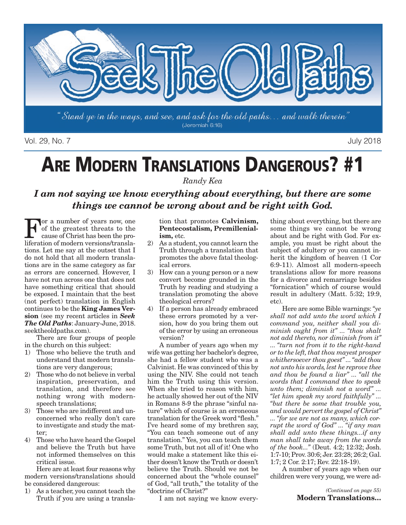

Vol. 29, No. 7 July 2018

# **ARE MODERN TRANSLATIONS DANGEROUS? #1**

*Randy Kea*

*I am not saying we know everything about everything, but there are some things we cannot be wrong about and be right with God.*

For a number of years now, one<br>of the greatest threats to the<br>cause of Christ has been the pro-<br>liferation of modern versions/translaof the greatest threats to the cause of Christ has been the proliferation of modern versions/translations. Let me say at the outset that I do not hold that all modern translations are in the same category as far as errors are concerned. However, I have not run across one that does not have something critical that should be exposed. I maintain that the best (not perfect) translation in English continues to be the **King James Version** (see my recent articles in *Seek The Old Paths*: January-June, 2018. seektheoldpaths.com).

There are four groups of people in the church on this subject:

- 1) Those who believe the truth and understand that modern translations are very dangerous;
- 2) Those who do not believe in verbal inspiration, preservation, and translation, and therefore see nothing wrong with modernspeech translations;
- 3) Those who are indifferent and unconcerned who really don't care to investigate and study the matter;
- 4) Those who have heard the Gospel and believe the Truth but have not informed themselves on this critical issue.

Here are at least four reasons why modern versions/translations should be considered dangerous:

1) As a teacher, you cannot teach the Truth if you are using a transla-

tion that promotes **Calvinism, Pentecostalism, Premillenialism,** etc.

- 2) As a student, you cannot learn the Truth through a translation that promotes the above fatal theological errors.
- 3) How can a young person or a new convert become grounded in the Truth by reading and studying a translation promoting the above theological errors?
- 4) If a person has already embraced these errors promoted by a version, how do you bring them out of the error by using an erroneous version?

A number of years ago when my wife was getting her bachelor's degree, she had a fellow student who was a Calvinist. He was convinced of this by using the NIV. She could not teach him the Truth using this version. When she tried to reason with him, he actually showed her out of the NIV in Romans 8-9 the phrase "sinful nature" which of course is an erroneous translation for the Greek word "flesh." I've heard some of my brethren say, "You can teach someone out of any translation." Yes, you can teach them some Truth, but not all of it! One who would make a statement like this either doesn't know the Truth or doesn't believe the Truth. Should we not be concerned about the "whole counsel" of God, "all truth," the totality of the "doctrine of Christ?"

I am not saying we know every-

thing about everything, but there are some things we cannot be wrong about and be right with God. For example, you must be right about the subject of adultery or you cannot inherit the kingdom of heaven (1 Cor 6:9-11). Almost all modern-speech translations allow for more reasons for a divorce and remarriage besides "fornication" which of course would result in adultery (Matt. 5:32; 19:9,  $etc.$ 

Here are some Bible warnings: *"ye shall not add unto the word which I command you, neither shall you diminish ought from it" ... "thou shalt not add thereto, nor diminish from it" ... "turn not from it to the right-hand or to the left, that thou mayest prosper whithersoever thou goest" ... "add thou not unto his words, lest he reprove thee and thou be found a liar" ... "all the words that I command thee to speak unto them; diminish not a word" ... "let him speak my word faithfully" ... "but there be some that trouble you, and would pervert the gospel of Christ" ... "for we are not as many, which corrupt the word of God" ... "if any man shall add unto these things...if any man shall take away from the words of the book..."* (Deut. 4:2; 12:32; Josh. 1:7-10; Prov. 30:6; Jer. 23:28; 26:2; Gal. 1:7; 2 Cor. 2:17; Rev. 22:18-19).

A number of years ago when our children were very young, we were ad-

> *(Continued on page 55)* **Modern Translations…**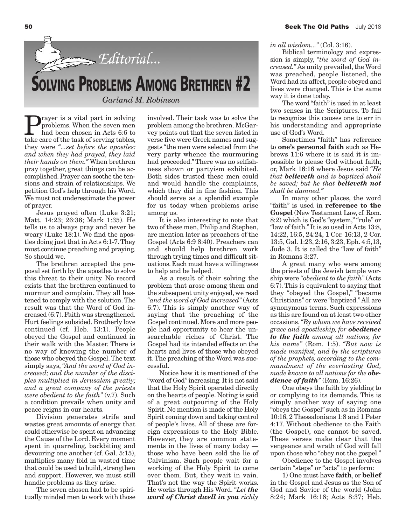

rayer is a vital part in solving problems. When the seven men had been chosen in Acts 6:6 to take care of the task of serving tables, they were *"...set before the apostles: and when they had prayed, they laid their hands on them."* When brethren pray together, great things can be accomplished. Prayer can soothe the tensions and strain of relationships. We petition God's help through his Word. We must not underestimate the power of prayer.

Jesus prayed often (Luke 3:21; Matt. 14:23; 26:36; Mark 1:35). He tells us to always pray and never be weary (Luke 18:1). We find the apostles doing just that in Acts 6:1-7. They must continue preaching and praying. So should we.

The brethren accepted the proposal set forth by the apostles to solve this threat to their unity. No record exists that the brethren continued to murmur and complain. They all hastened to comply with the solution. The result was that the Word of God increased (6:7). Faith was strengthened. Hurt feelings subsided. Brotherly love continued (cf. Heb. 13:1). People obeyed the Gospel and continued in their walk with the Master. There is no way of knowing the number of those who obeyed the Gospel. The text simply says, *"And the word of God increased; and the number of the disciples multiplied in Jerusalem greatly; and a great company of the priests were obedient to the faith"* (v.7). Such a condition prevails when unity and peace reigns in our hearts.

Division generates strife and wastes great amounts of energy that could otherwise be spent on advancing the Cause of the Lord. Every moment spent in quarreling, backbiting and devouring one another (cf. Gal. 5:15), multiplies many fold in wasted time that could be used to build, strengthen and support. However, we must still handle problems as they arise.

The seven chosen had to be spiritually minded men to work with those involved. Their task was to solve the problem among the brethren. McGarvey points out that the seven listed in verse five were Greek names and suggests "the men were selected from the very party whence the murmuring had proceeded." There was no selfishness shown or partyism exhibited. Both sides trusted these men could and would handle the complaints, which they did in fine fashion. This should serve as a splendid example for us today when problems arise among us.

It is also interesting to note that two of these men, Philip and Stephen, are mention later as preachers of the Gospel (Acts 6:9 8:40). Preachers can and should help brethren work through trying times and difficult situations. Each must have a willingness to help and be helped.

As a result of their solving the problem that arose among them and the subsequent unity enjoyed, we read *"and the word of God increased"* (Acts 6:7). This is simply another way of saying that the preaching of the Gospel continued. More and more people had opportunity to hear the unsearchable riches of Christ. The Gospel had its intended effects on the hearts and lives of those who obeyed it. The preaching of the Word was successful.

Notice how it is mentioned of the "word of God" increasing. It is not said that the Holy Spirit operated directly on the hearts of people. Noting is said of a great outpouring of the Holy Spirit. No mention is made of the Holy Spirit coming down and taking control of people's lives. All of these are foreign expressions to the Holy Bible. However, they are common statements in the lives of many today those who have been sold the lie of Calvinism. Such people wait for a working of the Holy Spirit to come over them. But, they wait in vain. That's not the way the Spirit works. He works through His Word. *"Let the word of Christ dwell in you richly*

*in all wisdom..."* (Col. 3:16).

Biblical terminology and expression is simply, *"the word of God increased."* As unity prevailed, the Word was preached, people listened, the Word had its affect, people obeyed and lives were changed. This is the same way it is done today.

The word "faith" is used in at least two senses in the Scriptures. To fail to recognize this causes one to err in his understanding and appropriate use of God's Word.

Sometimes "faith" has reference to **one's personal faith** such as Hebrews 11:6 where it is said it is impossible to please God without faith; or, Mark 16:16 where Jesus said *"He that believeth and is baptized shall be saved; but he that believeth not shall be damned."*

In many other places, the word "faith" is used in **reference to the Gospel** (New Testament Law, cf. Rom. 8:2) which is God's "system," "rule" or "law of faith." It is so used in Acts 13:8, 14:22, 16:5, 24:24, 1 Cor. 16:13, 2 Cor. 13:5, Gal. 1:23, 2:16, 3:23, Eph. 4:5,13, Jude 3. It is called the "law of faith" in Romans 3:27.

A great many who were among the priests of the Jewish temple worship were *"obedient to the faith"* (Acts 6:7). This is equivalent to saying that they "obeyed the Gospel," "became Christians" or were "baptized." All are synonymous terms. Such expressions as this are found on at least two other occasions. *"By whom we have received grace and apostleship, for obedience to the faith among all nations, for his name"* (Rom. 1:5). *"But now is made manifest, and by the scriptures of the prophets, according to the commandment of the everlasting God, made known to all nations for the obedience of faith"* (Rom. 16:26).

One obeys the faith by yielding to or complying to its demands. This is simply another way of saying one "obeys the Gospel" such as in Romans 10:16, 2 Thessalonians 1:8 and 1 Peter 4:17. Without obedience to the Faith (the Gospel), one cannot be saved. These verses make clear that the vengeance and wrath of God will fall upon those who "obey not the gospel."

Obedience to the Gospel involves certain "steps" or "acts" to perform:

1) One must have **faith**, or **belief** in the Gospel and Jesus as the Son of God and Savior of the world (John 8:24; Mark 16:16; Acts 8:37; Heb.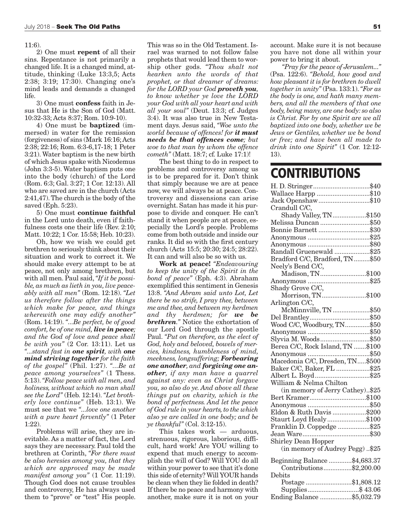#### 11:6).

2) One must **repent** of all their sins. Repentance is not primarily a changed life. It is a changed mind, attitude, thinking (Luke 13:3,5; Acts 2:38; 3:19; 17:30). Changing one's mind leads and demands a changed life.

3) One must **confess** faith in Jesus that He is the Son of God (Matt. 10:32-33; Acts 8:37; Rom. 10:9-10).

4) One must be **baptized** (immersed) in water for the remission (forgiveness) of sins (Mark 16:16; Acts 2:38; 22:16; Rom. 6:3-6,17-18; 1 Peter 3:21). Water baptism is the new birth of which Jesus spake with Nicodemus (John 3:3-5). Water baptism puts one into the body (church) of the Lord (Rom. 6:3; Gal. 3:27; 1 Cor. 12:13). All who are saved are in the church (Acts 2:41,47). The church is the body of the saved (Eph. 5:23).

5) One must **continue faithful** in the Lord unto death, even if faithfulness costs one their life (Rev. 2:10; Matt. 10:22; 1 Cor. 15:58; Heb. 10:23).

Oh, how we wish we could get brethren to seriously think about their situation and work to correct it. We should make every attempt to be at peace, not only among brethren, but with all men. Paul said, *"If it be possible, as much as lieth in you, live peaceably with all men"* (Rom. 12:18). *"Let us therefore follow after the things which make for peace, and things wherewith one may edify another"* (Rom. 14:19). *"...Be perfect, be of good comfort, be of one mind, live in peace; and the God of love and peace shall be with you"* (2 Cor. 13:11). Let us *"...stand fast in one spirit, with one mind striving together for the faith of the gospel"* (Phil. 1:27). *"...Be at peace among yourselves"* (1 Thess. 5:13). *"Follow peace with all men, and holiness, without which no man shall see the Lord"* (Heb. 12:14). *"Let brotherly love continue"* (Heb. 13:1). We must see that we *"...love one another with a pure heart fervently"* (1 Peter 1:22).

Problems will arise, they are inevitable. As a matter of fact, the Lord says they are necessary. Paul told the brethren at Corinth, *"For there must be also heresies among you, that they which are approved may be made manifest among you"* (1 Cor. 11:19). Though God does not cause troubles and controversy, He has always used them to "prove" or "test" His people.

This was so in the Old Testament. Israel was warned to not follow false prophets that would lead them to worship other gods. *"Thou shalt not hearken unto the words of that prophet, or that dreamer of dreams: for the LORD your God proveth you, to know whether ye love the LORD your God with all your heart and with all your soul"* (Deut. 13:3; cf. Judges 3:4). It was also true in New Testament days. Jesus said, *"Woe unto the world because of offences! for it must needs be that offences come; but woe to that man by whom the offence cometh"* (Matt. 18:7; cf. Luke 17:1)!

The best thing to do in respect to problems and controversy among us is to be prepared for it. Don't think that simply because we are at peace now, we will always be at peace. Controversy and dissensions can arise overnight. Satan has made it his purpose to divide and conquer. He can't stand it when people are at peace, especially the Lord's people. Problems come from both outside and inside our ranks. It did so with the first century church (Acts 15:5; 20:30; 24:5; 28:22). It can and will also be so with us.

**Work at peace!** *"Endeavouring to keep the unity of the Spirit in the bond of peace"* (Eph. 4:3). Abraham exemplified this sentiment in Genesis 13:8. *"And Abram said unto Lot, Let there be no strife, I pray thee, between me and thee, and between my herdmen and thy herdmen; for we be brethren."* Notice the exhortation of our Lord God through the apostle Paul. *"Put on therefore, as the elect of God, holy and beloved, bowels of mercies, kindness, humbleness of mind, meekness, longsuffering; Forbearing one another, and forgiving one another, if any man have a quarrel against any: even as Christ forgave you, so also do ye. And above all these things put on charity, which is the bond of perfectness. And let the peace of God rule in your hearts, to the which also ye are called in one body; and be ye thankful"* (Col. 3:12-15).

This takes work — arduous, strenuous, rigorous, laborious, difficult, hard work! Are YOU willing to expend that much energy to accomplish the will of God? Will YOU do all within your power to see that it's done this side of eternity? Will YOUR hands be clean when they lie folded in death? If there be no peace and harmony with another, make sure it is not on your

account. Make sure it is not because you have not done all within your power to bring it about.

*"Pray for the peace of Jerusalem..."* (Psa. 122:6). *"Behold, how good and how pleasant it is for brethren to dwell together in unity"* (Psa. 133:1). *"For as the body is one, and hath many members, and all the members of that one body, being many, are one body: so also is Christ. For by one Spirit are we all baptized into one body, whether we be Jews or Gentiles, whether we be bond or free; and have been all made to drink into one Spirit"* (1 Cor. 12:12- 13).

## **CONTRIBUTIONS**

| H. D. Stringer\$40               |
|----------------------------------|
| Wallace Harpp \$10               |
| Jack Openshaw\$10                |
| Crandull C/C,                    |
| Shady Valley, TN\$150            |
| Melissa Duncan \$50              |
| Bonnie Barnett \$30              |
|                                  |
|                                  |
| Randall Gruenewald \$25          |
| Bradford C/C, Bradford, TN \$50  |
| Neely's Bend C/C,                |
| Madison, TN\$100                 |
|                                  |
| Shady Grove C/C,                 |
| Morrison, TN\$100                |
| Arlington C/C,                   |
| McMinnville, TN \$50             |
|                                  |
| Wood C/C, Woodbury, TN\$50       |
|                                  |
| Slyvia M. Woods\$50              |
| Berea C/C, Rock Island, TN \$100 |
|                                  |
|                                  |
| Baker C/C, Baker, FL \$25        |
| Albert L. Boyd\$25               |
| William & Nelma Chilton          |
| (in memory of Jerry Cathey)\$25  |
|                                  |
|                                  |
| Eldon & Ruth Davis \$200         |
| Staurt Loyd Healy\$100           |
| Franklin D. Coppedge \$25        |
|                                  |
| Shirley Dean Hopper              |
| (in memory of Audrey Pegg) \$25  |
|                                  |
| Beginning Balance \$4,683.37     |
| Contributions\$2,200.00          |
| Debits                           |
| Postage \$1,808.12               |
| Supplies\$ 43.06                 |
| Ending Balance \$5,032.79        |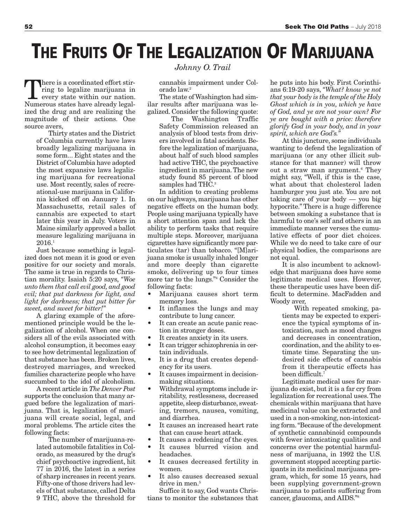# **THE FRUITS OF THE LEGALIZATION OF MARIJUANA**

There is a coordinated effort stir-<br>ring to legalize marijuana in<br>every state within our nation. ring to legalize marijuana in every state within our nation. Numerous states have already legalized the drug and are realizing the magnitude of their actions. One source avers,

> Thirty states and the District of Columbia currently have laws broadly legalizing marijuana in some form... Eight states and the District of Columbia have adopted the most expansive laws legalizing marijuana for recreational use. Most recently, sales of recreational-use marijuana in California kicked off on January 1. In Massachusetts, retail sales of cannabis are expected to start later this year in July. Voters in Maine similarly approved a ballot measure legalizing marijuana in 2016.1

Just because something is legalized does not mean it is good or even positive for our society and morals. The same is true in regards to Christian morality. Isaiah 5:20 says, *"Woe unto them that call evil good, and good evil; that put darkness for light, and light for darkness; that put bitter for sweet, and sweet for bitter!"*

A glaring example of the aforementioned principle would be the legalization of alcohol. When one considers all of the evils associated with alcohol consumption, it becomes easy to see how detrimental legalization of that substance has been. Broken lives, destroyed marriages, and wrecked families characterize people who have succumbed to the idol of alcoholism.

A recent article in *The Denver Post* supports the conclusion that many argued before the legalization of marijuana. That is, legalization of marijuana will create social, legal, and moral problems. The article cites the following facts:

The number of marijuana-related automobile fatalities in Colorado, as measured by the drug's chief psychoactive ingredient, hit 77 in 2016, the latest in a series of sharp increases in recent years. Fifty-one of those drivers had levels of that substance, called Delta 9 THC, above the threshold for

### *Johnny O. Trail*

cannabis impairment under Colorado law.2

The state of Washington had similar results after marijuana was legalized. Consider the following quote:

The Washington Traffic Safety Commission released an analysis of blood tests from drivers involved in fatal accidents. Before the legalization of marijuana, about half of such blood samples had active THC, the psychoactive ingredient in marijuana. The new study found 85 percent of blood samples had THC.<sup>3</sup>

In addition to creating problems on our highways, marijuana has other negative effects on the human body. People using marijuana typically have a short attention span and lack the ability to perform tasks that require multiple steps. Moreover, marijuana cigarettes have significantly more particulates (tar) than tobacco. "[M]arijuana smoke is usually inhaled longer and more deeply than cigarette smoke, delivering up to four times more tar to the lungs."4 Consider the following facts:

- Marijuana causes short term memory loss.
- It inflames the lungs and may contribute to lung cancer.
- It can create an acute panic reaction in stronger doses.
- It creates anxiety in its users.
- It can trigger schizophrenia in certain individuals.
- It is a drug that creates dependency for its users.
- It causes impairment in decisionmaking situations.
- Withdrawal symptoms include irritability, restlessness, decreased appetite, sleep disturbance, sweating, tremors, nausea, vomiting, and diarrhea.
- It causes an increased heart rate that can cause heart attack.
- It causes a reddening of the eyes.
- It causes blurred vision and headaches.
- It causes decreased fertility in women.
- It also causes decreased sexual drive in men.<sup>5</sup>

Suffice it to say, God wants Christians to monitor the substances that he puts into his body. First Corinthians 6:19-20 says, *"What? know ye not that your body is the temple of the Holy Ghost which is in you, which ye have of God, and ye are not your own? For ye are bought with a price: therefore glorify God in your body, and in your spirit, which are God's."*

At this juncture, some individuals wanting to defend the legalization of marijuana (or any other illicit substance for that manner) will throw out a straw man argument.<sup>6</sup> They might say, "Well, if this is the case, what about that cholesterol laden hamburger you just ate. You are not taking care of your body — you big hypocrite." There is a huge difference between smoking a substance that is harmful to one's self and others in an immediate manner verses the cumulative effects of poor diet choices. While we do need to take care of our physical bodies, the comparisons are not equal.

It is also incumbent to acknowledge that marijuana does have some legitimate medical uses. However, these therapeutic uses have been difficult to determine. MacFadden and Woody aver.

With repeated smoking, patients may be expected to experience the typical symptoms of intoxication, such as mood changes and decreases in concentration, coordination, and the ability to estimate time. Separating the undesired side effects of cannabis from it therapeutic effects has been difficult.<sup>7</sup>

Legitimate medical uses for marijuana do exist, but it is a far cry from legalization for recreational uses. The chemicals within marijuana that have medicinal value can be extracted and used in a non-smoking, non-intoxicating form. "Because of the development of synthetic cannabinoid compounds with fewer intoxicating qualities and concerns over the potential harmfulness of marijuana, in 1992 the U.S. government stopped accepting participants in its medicinal marijuana program, which, for some 15 years, had been supplying government-grown marijuana to patients suffering from cancer, glaucoma, and AIDS."8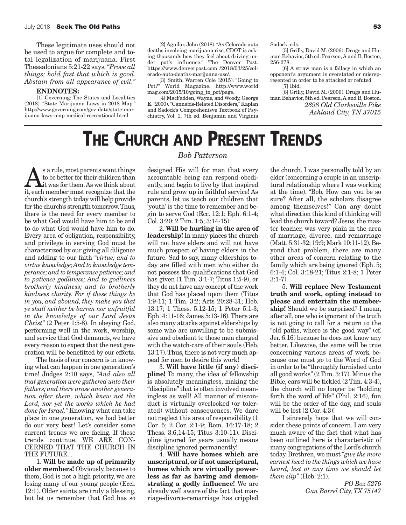These legitimate uses should not be used to argue for complete and total legalization of marijuana. First Thessalonians 5:21-22 says, *"Prove all things; hold fast that which is good. Abstain from all appearance of evil."*

#### **ENDNOTES:**

[1] Governing: The States and Localities (2018). "State Marijuana Laws in 2018 Map." http://www.governing.com/gov-data/state-marijuana-laws-map-medical-recreational.html.

[2] Aguilar, John (2018). "As Colorado auto deaths involving marijuana rise, CDOT is asking thousands how they feel about driving under pot's influence." The Denver Post. https://www.denverpost.com /2018/03/25/colorado-auto-deaths-marijuana-use/.

[3] Smith, Warren Cole (2015). "Going to Pot?" World Magazine. http://www.world mag.com/2015/10/going\_to\_pot/page.

[4] MacFadden, Wayne, and Woody, George E. (2000). "Cannabis-Related Disorders," Kaplan and Sadock's Comprehenisve Textbook of Psychiatry, Vol. 1, 7th ed. Benjamin and Virginia

Sadock, eds.

[5] Grilly, David M. (2006). Drugs and Human Behavior, 5th ed. Pearson, A and B, Boston, 256-278.

[6] A straw man is a fallacy in which an opponent's argument is overstated or misrepresented in order to be attacked or refuted [7] Ibid.

[8] Grilly, David M. (2006). Drugs and Human Behavior, 5th ed. Pearson, A and B, Boston. *2698 Old Clarksville Pike Ashland City, TN 37015*

## **THE CHURCH AND PRESENT TRENDS**

#### s a rule, most parents want things to be better for their children than it was for them. As we think about it, each member must recognize that the church's strength today will help provide for the church's strength tomorrow. Thus, there is the need for every member to be what God would have him to be and to do what God would have him to do. Every area of obligation, responsibility, and privilege in serving God must be characterized by our giving all diligence and adding to our faith *"virtue; and to virtue knowledge; And to knowledge temperance; and to temperance patience; and to patience godliness; And to godliness brotherly kindness; and to brotherly kindness charity. For if these things be in you, and abound, they make you that ye shall neither be barren nor unfruitful in the knowledge of our Lord Jesus Christ"* (2 Peter 1:5-8). In obeying God, performing well in the work, worship, and service that God demands, we have every reason to expect that the next generation will be benefitted by our efforts.

The basis of our concern is in knowing what can happen in one generation's time! Judges 2:10 says, *"And also all that generation were gathered unto their fathers; and there arose another generation after them, which knew not the Lord, nor yet the works which he had done for Israel."* Knowing what can take place in one generation, we had better do our very best! Let's consider some current trends we are facing. If these trends continue, WE ARE CON-CERNED THAT THE CHURCH IN THE FUTURE...

1. **Will be made up of primarily older members!** Obviously, because to them, God is not a high priority, we are losing many of our young people (Eccl. 12:1). Older saints are truly a blessing, but let us remember that God has so

### *Bob Patterson*

designed His will for man that every accountable being can respond obediently, and begin to live by that inspired rule and grow up in faithful service! As parents, let us teach our children that 'youth' is the time to remember and begin to serve God (Ecc. 12:1; Eph. 6:1-4; Col. 3:20; 2 Tim. 1:5; 3:14-15).

2. **Will be hurting in the area of leadership!** In many places the church will not have elders and will not have much prospect of having elders in the future. Sad to say, many elderships today are filled with men who either do not possess the qualifications that God has given (1 Tim. 3:1-7; Titus 1:5-9), or they do not have any concept of the work that God has placed upon them (Titus 1:9-11; 1 Tim. 3:2; Acts 20:28-31; Heb. 13:17; 1 Thess. 5:12-15; 1 Peter 5:1-3; Eph. 4:11-16; James 5:13-16). There are also many attacks against elderships by some who are unwilling to be submissive and obedient to those men charged with the watch-care of their souls (Heb. 13:17). Thus, there is not very much appeal for men to desire this work!

3. **Will have little (if any) discipline!** To many, the idea of fellowship is absolutely meaningless, making the "discipline" that is often involved meaningless as well! All manner of misconduct is virtually overlooked (or tolerated) without consequences. We dare not neglect this area of responsibility (1 Cor. 5; 2 Cor. 2:1-9; Rom. 16:17-18; 2 Thess. 3:6,14-15; Titus 3:10-11). Discipline ignored for years usually means discipline ignored permanently!

4. **Will have homes which are unscriptural, or if not unscriptural, homes which are virtually powerless as far as having and demonstrating a godly influence!** We are already well aware of the fact that marriage-divorce-remarriage has crippled the church. I was personally told by an elder (concerning a couple in an unscriptural relationship where I was working at the time), "Bob, How can you be so sure? After all, the scholars disagree among themselves!" Can any doubt what direction this kind of thinking will lead the church toward? Jesus, the master teacher, was very plain in the area of marriage, divorce, and remarriage (Matt. 5:31-32; 19:9; Mark 10:11-12). Beyond that problem, there are many other areas of concern relating to the family which are being ignored (Eph. 5; 6:1-4; Col. 3:18-21; Titus 2:1-8; 1 Peter 3:1-7).

5. **Will replace New Testament truth and work, opting instead to please and entertain the membership!** Should we be surprised? I mean, after all, one who is ignorant of the truth is not going to call for a return to the "old paths, where is the good way" (cf. Jer. 6:16) because he does not know any better. Likewise, the same will be true concerning various areas of work because one must go to the Word of God in order to be "throughly furnished unto all good works" (2 Tim. 3:17). Minus the Bible, ears will be tickled (2 Tim. 4:3-4), the church will no longer be "holding forth the word of life" (Phil. 2:16), fun will be the order of the day, and souls will be lost (2 Cor. 4:3)!

I sincerely hope that we will consider these points of concern. I am very much aware of the fact that what has been outlined here is characteristic of many congregations of the Lord's church today. Brethren, we must *"give the more earnest heed to the things which we have heard, lest at any time we should let them slip"* (Heb. 2:1).

> *PO Box 5276 Gun Barrel City, TX 75147*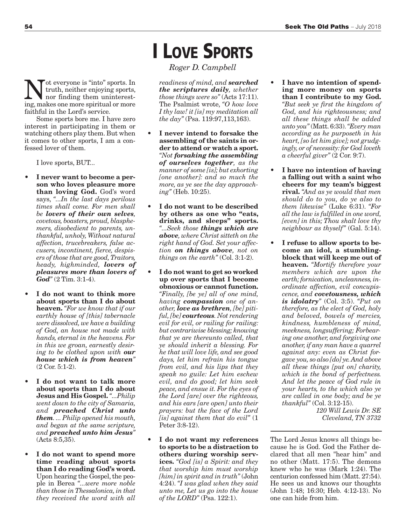Not everyone is "into" sports. In<br>truth, neither enjoying sports,<br>nor finding them uninterest-<br>ing makes one more spiritual or more truth, neither enjoying sports, ing, makes one more spiritual or more faithful in the Lord's service.

Some sports bore me. I have zero interest in participating in them or watching others play them. But when it comes to other sports, I am a confessed lover of them.

I love sports, BUT...

- **I never want to become a person who loves pleasure more than loving God.** God's word says, *"...In the last days perilous times shall come. For men shall be lovers of their own selves, covetous, boasters, proud, blasphemers, disobedient to parents, unthankful, unholy, Without natural affection, trucebreakers, false accusers, incontinent, fierce, despisers of those that are good, Traitors, heady, highminded, lovers of pleasures more than lovers of God"* (2 Tim. 3:1-4).
- **I do not want to think more about sports than I do about heaven.** *"For we know that if our earthly house of [this] tabernacle were dissolved, we have a building of God, an house not made with hands, eternal in the heavens. For in this we groan, earnestly desiring to be clothed upon with our house which is from heaven"* (2 Cor. 5:1-2).
- **I do not want to talk more about sports than I do about Jesus and His Gospel.** *"...Philip went down to the city of Samaria, and preached Christ unto them. ... Philip opened his mouth, and began at the same scripture, and preached unto him Jesus"* (Acts 8:5,35).
- **I do not want to spend more time reading about sports than I do reading God's word.** Upon hearing the Gospel, the people in Berea *"...were more noble than those in Thessalonica, in that they received the word with all*

**I LOVE SPORTS**

*Roger D. Campbell*

*readiness of mind, and searched the scriptures daily, whether those things were so"* (Acts 17:11). The Psalmist wrote, *"O how love I thy law! it [is] my meditation all the day"* (Psa. 119:97,113,163).

- **I never intend to forsake the assembling of the saints in order to attend or watch a sport.** *"Not forsaking the assembling of ourselves together, as the manner of some [is]; but exhorting [one another]: and so much the more, as ye see the day approaching"* (Heb. 10:25).
- **I do not want to be described by others as one who "eats, drinks, and sleeps" sports.** *"...Seek those things which are above, where Christ sitteth on the right hand of God. Set your affection on things above, not on things on the earth"* (Col. 3:1-2).
- **I do not want to get so worked up over sports that I become obnoxious or cannot function.** *"Finally, [be ye] all of one mind, having compassion one of another, love as brethren, [be] pitiful, [be] courteous. Not rendering evil for evil, or railing for railing: but contrariwise blessing; knowing that ye are thereunto called, that ye should inherit a blessing. For he that will love life, and see good days, let him refrain his tongue from evil, and his lips that they speak no guile: Let him eschew evil, and do good; let him seek peace, and ensue it. For the eyes of the Lord [are] over the righteous, and his ears [are open] unto their prayers: but the face of the Lord [is] against them that do evil"* (1 Peter 3:8-12).
- **I do not want my references to sports to be a distraction to others during worship services.** *"God [is] a Spirit: and they that worship him must worship [him] in spirit and in truth"* (John 4:24). *"I was glad when they said unto me, Let us go into the house of the LORD"* (Psa. 122:1).
- I have no intention of spend**ing more money on sports than I contribute to my God.** *"But seek ye first the kingdom of God, and his righteousness; and all these things shall be added unto you"* (Matt. 6:33). *"Every man according as he purposeth in his heart, [so let him give]; not grudgingly, or of necessity: for God loveth a cheerful giver"* (2 Cor. 9:7).
- **I have no intention of having a falling out with a saint who cheers for my team's biggest rival.** *"And as ye would that men should do to you, do ye also to them likewise"* (Luke 6:31). *"For all the law is fulfilled in one word, [even] in this; Thou shalt love thy neighbour as thyself"* (Gal. 5:14).
- **I refuse to allow sports to become an idol, a stumblingblock that will keep me out of heaven.** *"Mortify therefore your members which are upon the earth; fornication, uncleanness, inordinate affection, evil concupiscence, and covetousness, which is idolatry"* (Col. 3:5). *"Put on therefore, as the elect of God, holy and beloved, bowels of mercies, kindness, humbleness of mind, meekness, longsuffering; Forbearing one another, and forgiving one another, if any man have a quarrel against any: even as Christ forgave you, so also [do] ye. And above all these things [put on] charity, which is the bond of perfectness. And let the peace of God rule in your hearts, to the which also ye are called in one body; and be ye thankful"* (Col. 3:12-15).

*120 Will Lewis Dr. SE Cleveland, TN 3732*

The Lord Jesus knows all things because he is God. God the Father declared that all men "hear him" and no other (Matt. 17:5). The demons knew who he was (Mark 1:24). The centurion confessed him (Matt. 27:54). He sees us and knows our thoughts (John 1:48; 16:30; Heb. 4:12-13). No one can hide from him.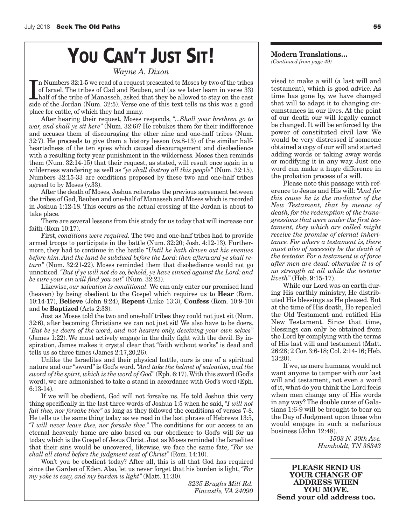# **YOU CAN'T JUST SIT!**

*Wayne A. Dixon*

In Numbers 32:1-5 we read of a request presented to Moses by two of the tribes of Israel. The tribes of Gad and Reuben, and (as we later learn in verse 33) half of the tribe of Manasseh, asked that they be allowed to stay n Numbers 32:1-5 we read of a request presented to Moses by two of the tribes of Israel. The tribes of Gad and Reuben, and (as we later learn in verse 33) half of the tribe of Manasseh, asked that they be allowed to stay on the east place for cattle, of which they had many.

After hearing their request, Moses responds, *"...Shall your brethren go to war, and shall ye sit here"* (Num. 32:6)? He rebukes them for their indifference and accuses them of discouraging the other nine and one-half tribes (Num. 32:7). He proceeds to give them a history lesson (vs.8-13) of the similar halfheartedness of the ten spies which caused discouragement and disobedience with a resulting forty year punishment in the wilderness. Moses then reminds them (Num. 32:14-15) that their request, as stated, will result once again in a wilderness wandering as well as *"ye shall destroy all this people"* (Num. 32:15). Numbers 32:15-33 are conditions proposed by these two and one-half tribes agreed to by Moses (v.33).

After the death of Moses, Joshua reiterates the previous agreement between the tribes of Gad, Reuben and one-half of Manasseh and Moses which is recorded in Joshua 1:12-18. This occurs as the actual crossing of the Jordan is about to take place.

There are several lessons from this study for us today that will increase our faith (Rom 10:17).

First, *conditions were required.* The two and one-half tribes had to provide armed troops to participate in the battle (Num. 32:20; Josh. 4:12-13). Furthermore, they had to continue in the battle *"Until he hath driven out his enemies before him. And the land be subdued before the Lord: then afterward ye shall return"* (Num. 32:21-22). Moses reminded them that disobedience would not go unnoticed. *"But if ye will not do so, behold, ye have sinned against the Lord: and be sure your sin will find you out"* (Num. 32:23).

Likewise, *our salvation is conditional.* We can only enter our promised land (heaven) by being obedient to the Gospel which requires us to **Hear** (Rom. 10:14-17), **Believe** (John 8:24), **Repent** (Luke 13:3), **Confess** (Rom. 10:9-10) and be **Baptized** (Acts 2:38).

Just as Moses told the two and one-half tribes they could not just sit (Num. 32:6), after becoming Christians we can not just sit! We also have to be doers. *"But be ye doers of the word, and not hearers only, deceiving your own selves"* (James 1:22). We must actively engage in the daily fight with the devil. By inspiration, James makes it crystal clear that "faith without works" is dead and tells us so three times (James 2:17,20,26).

Unlike the Israelites and their physical battle, ours is one of a spiritual nature and our "sword" is God's word. *"And take the helmet of salvation, and the sword of the spirit, which is the word of God"* (Eph. 6:17). With this sword (God's word), we are admonished to take a stand in accordance with God's word (Eph. 6:13-14).

If we will be obedient, God will not forsake us. He told Joshua this very thing specifically in the last three words of Joshua 1:5 when he said, *"I will not fail thee, nor forsake thee"* as long as they followed the conditions of verses 7-8. He tells us the same thing today as we read in the last phrase of Hebrews 13:5, *"I will never leave thee, nor forsake thee."* The conditions for our access to an eternal heavenly home are also based on our obedience to God's will for us today, which is the Gospel of Jesus Christ. Just as Moses reminded the Israelites that their sins would be uncovered, likewise, we face the same fate, *"For we shall all stand before the judgment seat of Christ"* (Rom. 14:10).

Won't you be obedient today? After all, this is all that God has required since the Garden of Eden. Also, let us never forget that his burden is light, *"For my yoke is easy, and my burden is light"* (Matt. 11:30).

*3235 Brughs Mill Rd. Fincastle, VA 24090*

#### **Modern Translations…** *(Continued from page 49)*

vised to make a will (a last will and testament), which is good advice. As time has gone by, we have changed that will to adapt it to changing circumstances in our lives. At the point of our death our will legally cannot be changed. It will be enforced by the power of constituted civil law. We would be very distressed if someone obtained a copy of our will and started adding words or taking away words or modifying it in any way. Just one word can make a huge difference in the probation process of a will.

Please note this passage with reference to Jesus and His will: *"And for this cause he is the mediator of the New Testament, that by means of death, for the redemption of the transgressions that were under the first testament, they which are called might receive the promise of eternal inheritance. For where a testament is, there must also of necessity be the death of the testator. For a testament is of force after men are dead: otherwise it is of no strength at all while the testator liveth"* (Heb. 9:15-17).

While our Lord was on earth during His earthly ministry, He distributed His blessings as He pleased. But at the time of His death, He repealed the Old Testament and ratified His New Testament. Since that time, blessings can only be obtained from the Lord by complying with the terms of His last will and testament (Matt. 26:28; 2 Cor. 3:6-18; Col. 2:14-16; Heb. 13:20).

If we, as mere humans, would not want anyone to tamper with our last will and testament, not even a word of it, what do you think the Lord feels when men change any of His words in any way? The double curse of Galatians 1:6-9 will be brought to bear on the Day of Judgment upon those who would engage in such a nefarious business (John 12:48).

> *1503 N. 30th Ave. Humboldt, TN 38343*

**PLEASE SEND US YOUR CHANGE OF ADDRESS WHEN YOU MOVE. Send your old address too.**